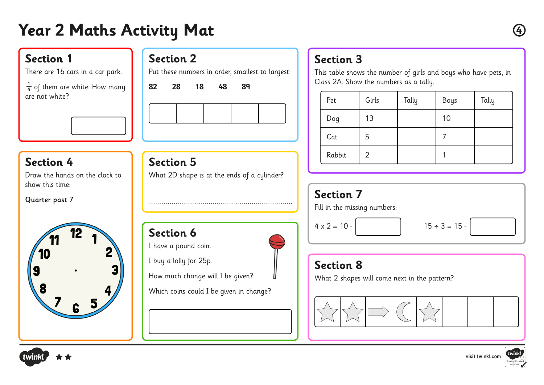# **Year 2 Maths Activity Mat <sup>4</sup>**

#### **Section 1**

There are 16 cars in a car park.

 $\frac{1}{4}$  of them are white. How many are not white? 4

### **Section 2**

**Section 5**

Put these numbers in order, smallest to largest:

**82 28 18 48 89** 



#### **Section 4**

Draw the hands on the clock to show this time:

Quarter past 7



**Section 6** I have a pound coin. I buy a lolly for 25p. How much change will I be given? Which coins could I be given in change?

What 2D shape is at the ends of a cylinder?

# **Section 3**

This table shows the number of girls and boys who have pets, in Class 2A. Show the numbers as a tally.

| Pet    | Girls | Tally | Boys | Tally |
|--------|-------|-------|------|-------|
| Dog    | 13    |       | 10   |       |
| Cat    | 5     |       |      |       |
| Rabbit | 2     |       |      |       |

# **Section 7** Fill in the missing numbers:  $4 \times 2 = 10$  -  $15 \div 3 = 15$

# **Section 8**

What 2 shapes will come next in the pattern?







visit twinkl.com